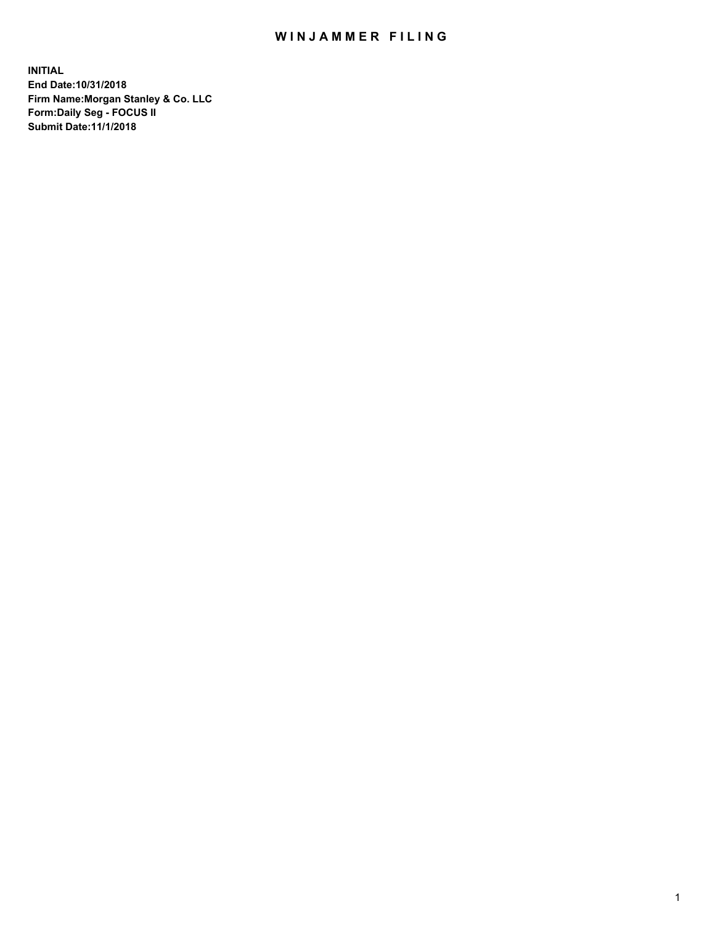## WIN JAMMER FILING

**INITIAL End Date:10/31/2018 Firm Name:Morgan Stanley & Co. LLC Form:Daily Seg - FOCUS II Submit Date:11/1/2018**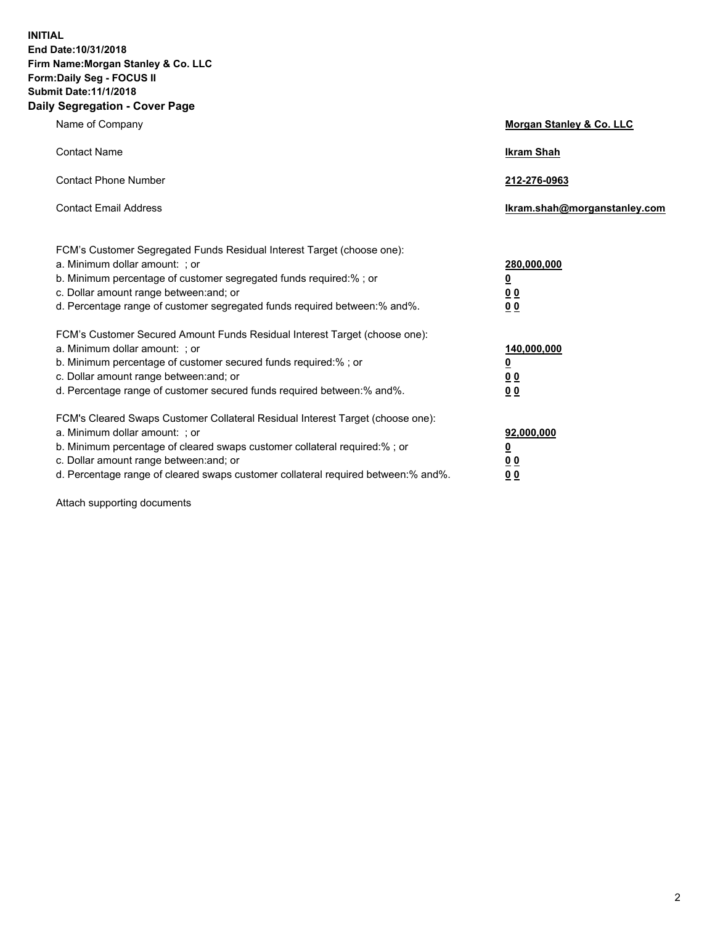**INITIAL End Date:10/31/2018 Firm Name:Morgan Stanley & Co. LLC Form:Daily Seg - FOCUS II Submit Date:11/1/2018 Daily Segregation - Cover Page**

| Name of Company                                                                   | Morgan Stanley & Co. LLC     |
|-----------------------------------------------------------------------------------|------------------------------|
| <b>Contact Name</b>                                                               | <b>Ikram Shah</b>            |
| <b>Contact Phone Number</b>                                                       | 212-276-0963                 |
| <b>Contact Email Address</b>                                                      | Ikram.shah@morganstanley.com |
| FCM's Customer Segregated Funds Residual Interest Target (choose one):            |                              |
| a. Minimum dollar amount: ; or                                                    | 280,000,000                  |
| b. Minimum percentage of customer segregated funds required:% ; or                | <u>0</u>                     |
| c. Dollar amount range between: and; or                                           | <u>00</u>                    |
| d. Percentage range of customer segregated funds required between:% and%.         | 0 <sub>0</sub>               |
| FCM's Customer Secured Amount Funds Residual Interest Target (choose one):        |                              |
| a. Minimum dollar amount: ; or                                                    | 140,000,000                  |
| b. Minimum percentage of customer secured funds required:%; or                    | <u>0</u>                     |
| c. Dollar amount range between: and; or                                           | <u>00</u>                    |
| d. Percentage range of customer secured funds required between:% and%.            | 00                           |
| FCM's Cleared Swaps Customer Collateral Residual Interest Target (choose one):    |                              |
| a. Minimum dollar amount: ; or                                                    | 92,000,000                   |
| b. Minimum percentage of cleared swaps customer collateral required:% ; or        | <u>0</u>                     |
| c. Dollar amount range between: and; or                                           | 0 Q                          |
| d. Percentage range of cleared swaps customer collateral required between:% and%. | 00                           |

Attach supporting documents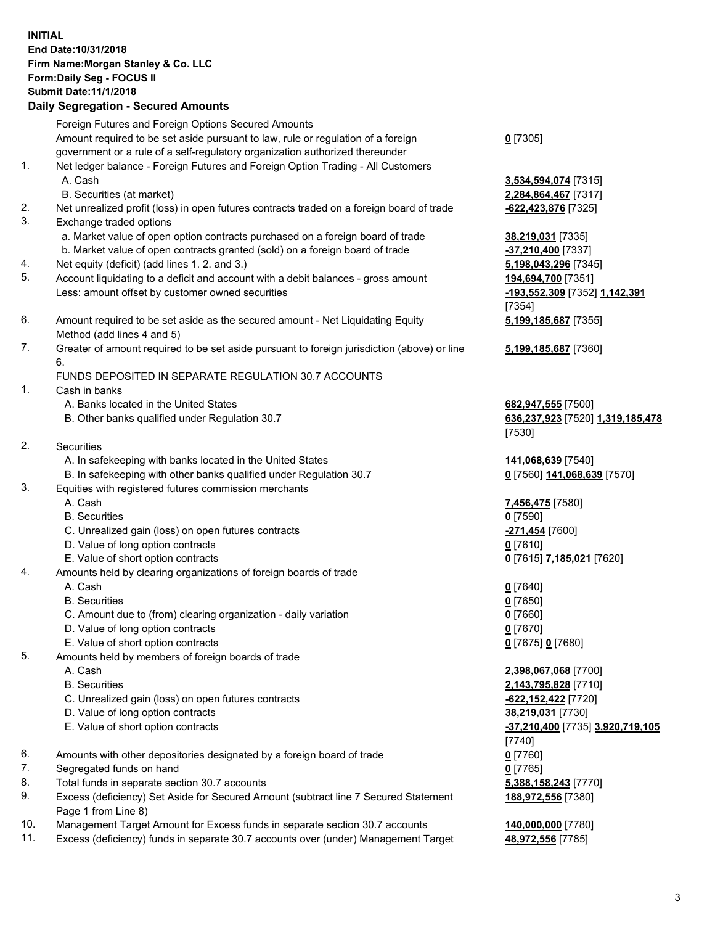## **INITIAL End Date:10/31/2018 Firm Name:Morgan Stanley & Co. LLC Form:Daily Seg - FOCUS II Submit Date:11/1/2018 Daily Segregation - Secured Amounts** Foreign Futures and Foreign Options Secured Amounts Amount required to be set aside pursuant to law, rule or regulation of a foreign government or a rule of a self-regulatory organization authorized thereunder 1. Net ledger balance - Foreign Futures and Foreign Option Trading - All Customers A. Cash **3,534,594,074** [7315] B. Securities (at market) **2,284,864,467** [7317] 2. Net unrealized profit (loss) in open futures contracts traded on a foreign board of trade **-622,423,876** [7325] 3. Exchange traded options a. Market value of open option contracts purchased on a foreign board of trade **38,219,031** [7335] b. Market value of open contracts granted (sold) on a foreign board of trade **-37,210,400** [7337] 4. Net equity (deficit) (add lines 1. 2. and 3.) **5,198,043,296** [7345] 5. Account liquidating to a deficit and account with a debit balances - gross amount **194,694,700** [7351] Less: amount offset by customer owned securities **-193,552,309** [7352] **1,142,391** 6. Amount required to be set aside as the secured amount - Net Liquidating Equity Method (add lines 4 and 5) 7. Greater of amount required to be set aside pursuant to foreign jurisdiction (above) or line 6. FUNDS DEPOSITED IN SEPARATE REGULATION 30.7 ACCOUNTS 1. Cash in banks A. Banks located in the United States **682,947,555** [7500] B. Other banks qualified under Regulation 30.7 **636,237,923** [7520] **1,319,185,478** 2. Securities A. In safekeeping with banks located in the United States **141,068,639** [7540] B. In safekeeping with other banks qualified under Regulation 30.7 **0** [7560] **141,068,639** [7570] 3. Equities with registered futures commission merchants A. Cash **7,456,475** [7580] B. Securities **0** [7590] C. Unrealized gain (loss) on open futures contracts **-271,454** [7600] D. Value of long option contracts **0** [7610] E. Value of short option contracts **0** [7615] **7,185,021** [7620] 4. Amounts held by clearing organizations of foreign boards of trade A. Cash **0** [7640] B. Securities **0** [7650] C. Amount due to (from) clearing organization - daily variation **0** [7660] D. Value of long option contracts **0** [7670] E. Value of short option contracts **0** [7675] **0** [7680] 5. Amounts held by members of foreign boards of trade A. Cash **2,398,067,068** [7700] B. Securities **2,143,795,828** [7710]

- C. Unrealized gain (loss) on open futures contracts **-622,152,422** [7720]
- D. Value of long option contracts **38,219,031** [7730]
- E. Value of short option contracts **-37,210,400** [7735] **3,920,719,105**
- 6. Amounts with other depositories designated by a foreign board of trade **0** [7760]
- 7. Segregated funds on hand **0** [7765]
- 8. Total funds in separate section 30.7 accounts **5,388,158,243** [7770]
- 9. Excess (deficiency) Set Aside for Secured Amount (subtract line 7 Secured Statement Page 1 from Line 8)
- 10. Management Target Amount for Excess funds in separate section 30.7 accounts **140,000,000** [7780]
- 11. Excess (deficiency) funds in separate 30.7 accounts over (under) Management Target **48,972,556** [7785]

**0** [7305]

[7354] **5,199,185,687** [7355]

**5,199,185,687** [7360]

[7530]

[7740] **188,972,556** [7380]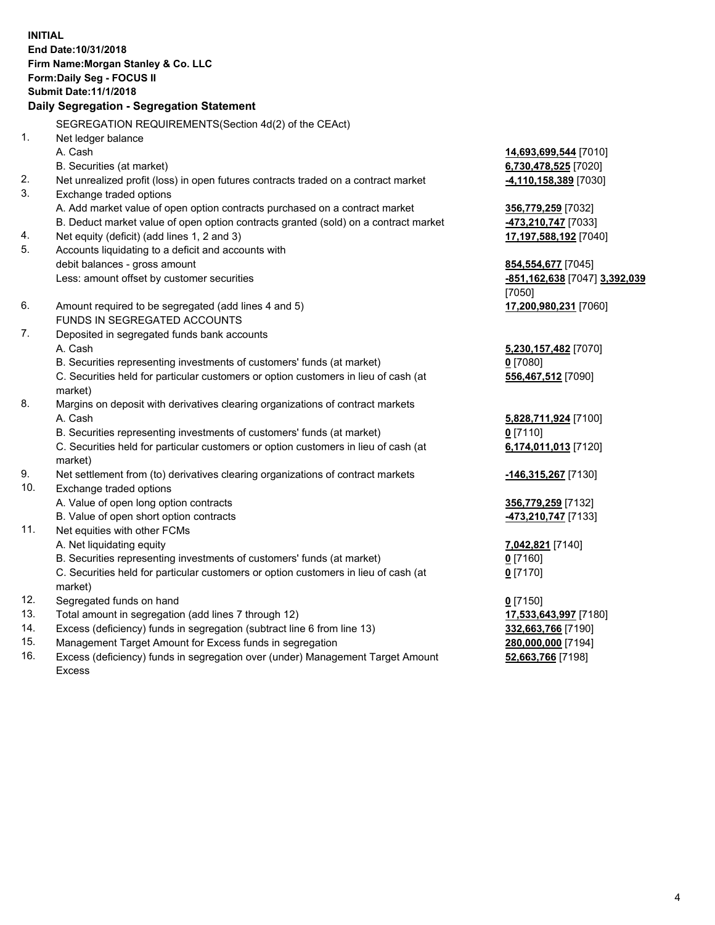**INITIAL End Date:10/31/2018 Firm Name:Morgan Stanley & Co. LLC Form:Daily Seg - FOCUS II Submit Date:11/1/2018 Daily Segregation - Segregation Statement** SEGREGATION REQUIREMENTS(Section 4d(2) of the CEAct) 1. Net ledger balance A. Cash **14,693,699,544** [7010] B. Securities (at market) **6,730,478,525** [7020] 2. Net unrealized profit (loss) in open futures contracts traded on a contract market **-4,110,158,389** [7030] 3. Exchange traded options A. Add market value of open option contracts purchased on a contract market **356,779,259** [7032] B. Deduct market value of open option contracts granted (sold) on a contract market **-473,210,747** [7033] 4. Net equity (deficit) (add lines 1, 2 and 3) **17,197,588,192** [7040] 5. Accounts liquidating to a deficit and accounts with debit balances - gross amount **854,554,677** [7045] Less: amount offset by customer securities **-851,162,638** [7047] **3,392,039** [7050] 6. Amount required to be segregated (add lines 4 and 5) **17,200,980,231** [7060] FUNDS IN SEGREGATED ACCOUNTS 7. Deposited in segregated funds bank accounts A. Cash **5,230,157,482** [7070] B. Securities representing investments of customers' funds (at market) **0** [7080] C. Securities held for particular customers or option customers in lieu of cash (at market) **556,467,512** [7090] 8. Margins on deposit with derivatives clearing organizations of contract markets A. Cash **5,828,711,924** [7100] B. Securities representing investments of customers' funds (at market) **0** [7110] C. Securities held for particular customers or option customers in lieu of cash (at market) **6,174,011,013** [7120] 9. Net settlement from (to) derivatives clearing organizations of contract markets **-146,315,267** [7130] 10. Exchange traded options A. Value of open long option contracts **356,779,259** [7132] B. Value of open short option contracts **-473,210,747** [7133] 11. Net equities with other FCMs A. Net liquidating equity **7,042,821** [7140] B. Securities representing investments of customers' funds (at market) **0** [7160] C. Securities held for particular customers or option customers in lieu of cash (at market) **0** [7170] 12. Segregated funds on hand **0** [7150] 13. Total amount in segregation (add lines 7 through 12) **17,533,643,997** [7180] 14. Excess (deficiency) funds in segregation (subtract line 6 from line 13) **332,663,766** [7190]

- 15. Management Target Amount for Excess funds in segregation **280,000,000** [7194]
- 16. Excess (deficiency) funds in segregation over (under) Management Target Amount Excess

**52,663,766** [7198]